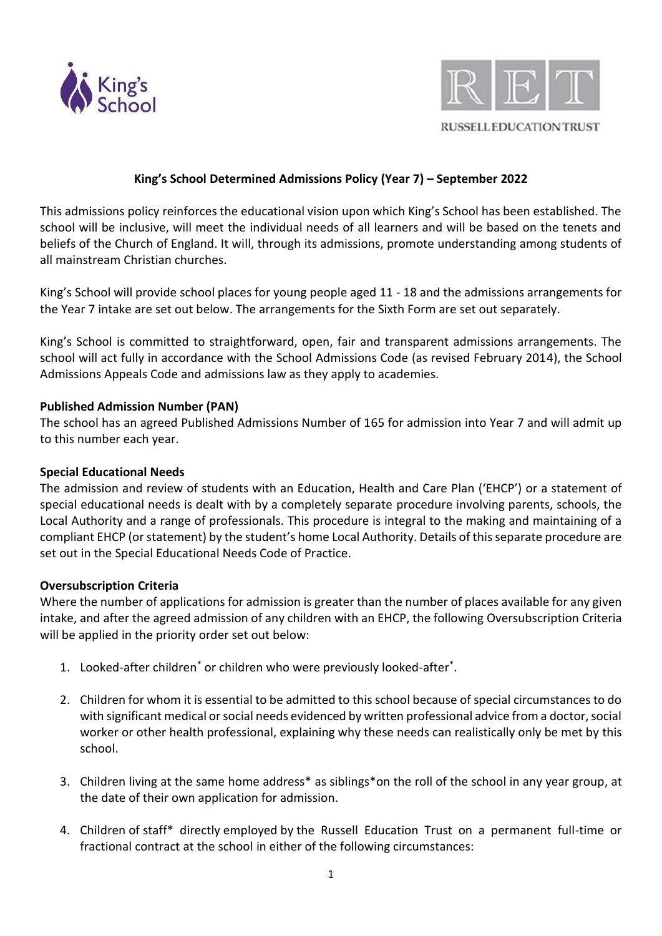



# **King's School Determined Admissions Policy (Year 7) – September 2022**

This admissions policy reinforces the educational vision upon which King's School has been established. The school will be inclusive, will meet the individual needs of all learners and will be based on the tenets and beliefs of the Church of England. It will, through its admissions, promote understanding among students of all mainstream Christian churches.

King's School will provide school places for young people aged 11 - 18 and the admissions arrangements for the Year 7 intake are set out below. The arrangements for the Sixth Form are set out separately.

King's School is committed to straightforward, open, fair and transparent admissions arrangements. The school will act fully in accordance with the School Admissions Code (as revised February 2014), the School Admissions Appeals Code and admissions law as they apply to academies.

### **Published Admission Number (PAN)**

The school has an agreed Published Admissions Number of 165 for admission into Year 7 and will admit up to this number each year.

#### **Special Educational Needs**

The admission and review of students with an Education, Health and Care Plan ('EHCP') or a statement of special educational needs is dealt with by a completely separate procedure involving parents, schools, the Local Authority and a range of professionals. This procedure is integral to the making and maintaining of a compliant EHCP (or statement) by the student's home Local Authority. Details of this separate procedure are set out in the Special Educational Needs Code of Practice.

#### **Oversubscription Criteria**

Where the number of applications for admission is greater than the number of places available for any given intake, and after the agreed admission of any children with an EHCP, the following Oversubscription Criteria will be applied in the priority order set out below:

- 1. Looked-after children\* or children who were previously looked-after\* .
- 2. Children for whom it is essential to be admitted to this school because of special circumstances to do with significant medical or social needs evidenced by written professional advice from a doctor, social worker or other health professional, explaining why these needs can realistically only be met by this school.
- 3. Children living at the same home address\* as siblings\*on the roll of the school in any year group, at the date of their own application for admission.
- 4. Children of staff\* directly employed by the Russell Education Trust on a permanent full-time or fractional contract at the school in either of the following circumstances: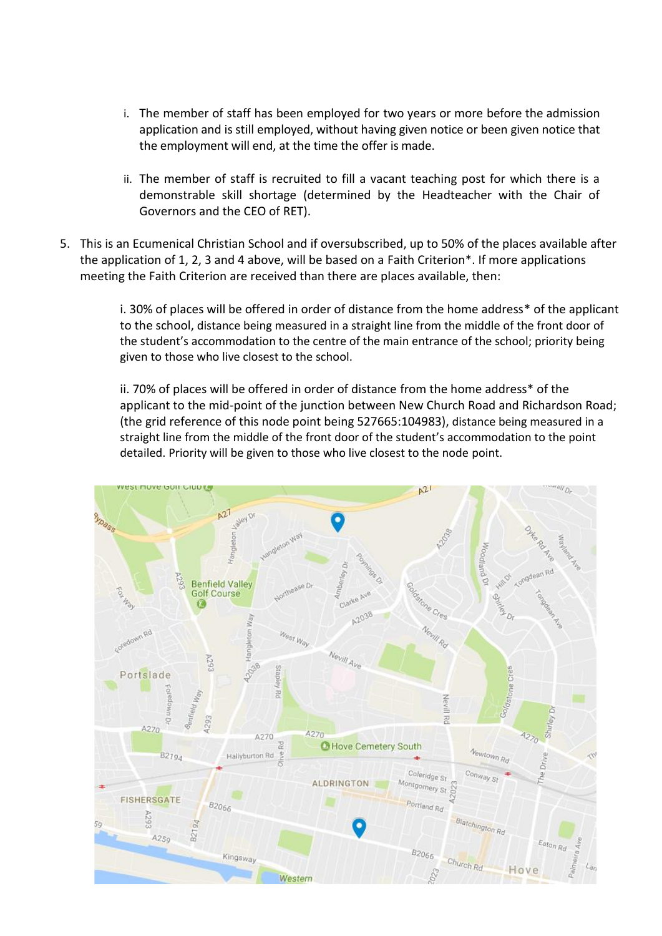- i. The member of staff has been employed for two years or more before the admission application and is still employed, without having given notice or been given notice that the employment will end, at the time the offer is made.
- ii. The member of staff is recruited to fill a vacant teaching post for which there is a demonstrable skill shortage (determined by the Headteacher with the Chair of Governors and the CEO of RET).
- 5. This is an Ecumenical Christian School and if oversubscribed, up to 50% of the places available after the application of 1, 2, 3 and 4 above, will be based on a Faith Criterion\*. If more applications meeting the Faith Criterion are received than there are places available, then:

i. 30% of places will be offered in order of distance from the home address\* of the applicant to the school, distance being measured in a straight line from the middle of the front door of the student's accommodation to the centre of the main entrance of the school; priority being given to those who live closest to the school.

ii. 70% of places will be offered in order of distance from the home address\* of the applicant to the mid-point of the junction between New Church Road and Richardson Road; (the grid reference of this node point being 527665:104983), distance being measured in a straight line from the middle of the front door of the student's accommodation to the point detailed. Priority will be given to those who live closest to the node point.

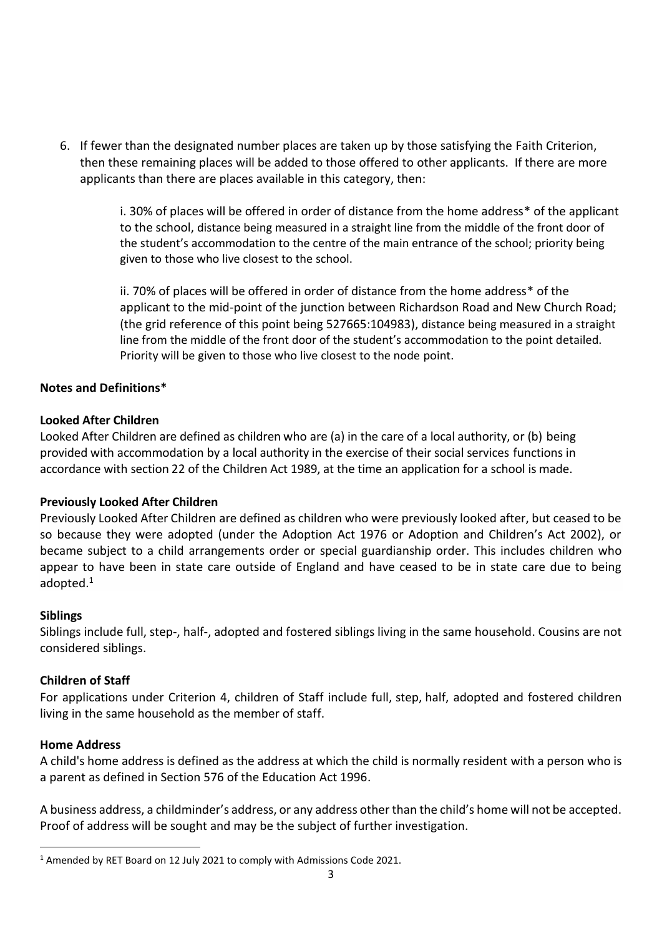6. If fewer than the designated number places are taken up by those satisfying the Faith Criterion, then these remaining places will be added to those offered to other applicants. If there are more applicants than there are places available in this category, then:

> i. 30% of places will be offered in order of distance from the home address\* of the applicant to the school, distance being measured in a straight line from the middle of the front door of the student's accommodation to the centre of the main entrance of the school; priority being given to those who live closest to the school.

> ii. 70% of places will be offered in order of distance from the home address\* of the applicant to the mid-point of the junction between Richardson Road and New Church Road; (the grid reference of this point being 527665:104983), distance being measured in a straight line from the middle of the front door of the student's accommodation to the point detailed. Priority will be given to those who live closest to the node point.

### **Notes and Definitions\***

### **Looked After Children**

Looked After Children are defined as children who are (a) in the care of a local authority, or (b) being provided with accommodation by a local authority in the exercise of their social services functions in accordance with section 22 of the Children Act 1989, at the time an application for a school is made.

# **Previously Looked After Children**

Previously Looked After Children are defined as children who were previously looked after, but ceased to be so because they were adopted (under the Adoption Act 1976 or Adoption and Children's Act 2002), or became subject to a child arrangements order or special guardianship order. This includes children who appear to have been in state care outside of England and have ceased to be in state care due to being adopted.<sup>1</sup>

#### **Siblings**

Siblings include full, step-, half-, adopted and fostered siblings living in the same household. Cousins are not considered siblings.

#### **Children of Staff**

For applications under Criterion 4, children of Staff include full, step, half, adopted and fostered children living in the same household as the member of staff.

#### **Home Address**

A child's home address is defined as the address at which the child is normally resident with a person who is a parent as defined in Section 576 of the Education Act 1996.

A business address, a childminder's address, or any address other than the child's home will not be accepted. Proof of address will be sought and may be the subject of further investigation.

<sup>&</sup>lt;sup>1</sup> Amended by RET Board on 12 July 2021 to comply with Admissions Code 2021.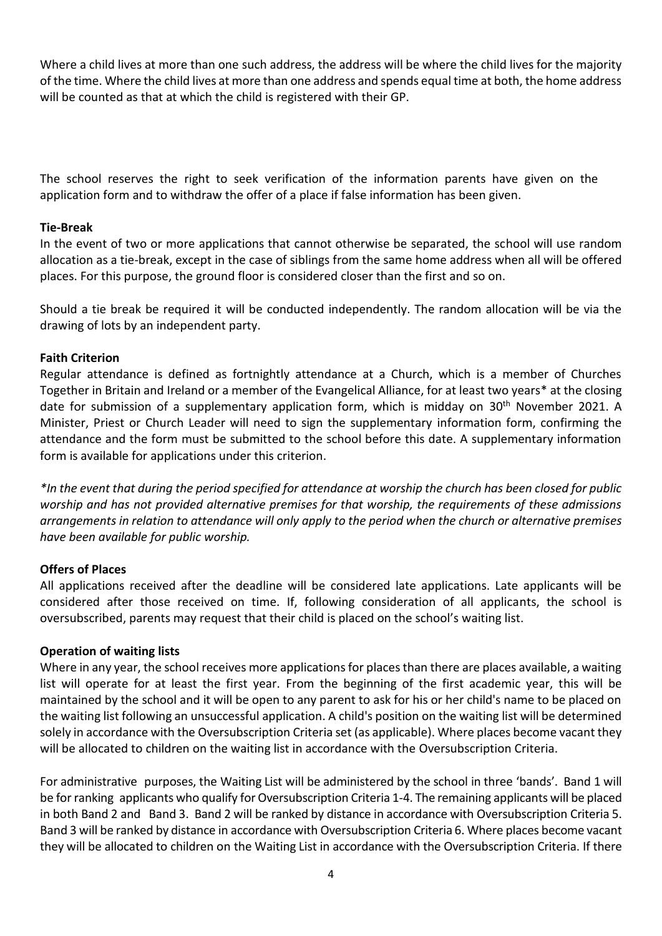Where a child lives at more than one such address, the address will be where the child lives for the majority of the time. Where the child lives at more than one address and spends equal time at both, the home address will be counted as that at which the child is registered with their GP.

The school reserves the right to seek verification of the information parents have given on the application form and to withdraw the offer of a place if false information has been given.

#### **Tie-Break**

In the event of two or more applications that cannot otherwise be separated, the school will use random allocation as a tie-break, except in the case of siblings from the same home address when all will be offered places. For this purpose, the ground floor is considered closer than the first and so on.

Should a tie break be required it will be conducted independently. The random allocation will be via the drawing of lots by an independent party.

### **Faith Criterion**

Regular attendance is defined as fortnightly attendance at a Church, which is a member of Churches Together in Britain and Ireland or a member of the Evangelical Alliance, for at least two years\* at the closing date for submission of a supplementary application form, which is midday on 30<sup>th</sup> November 2021. A Minister, Priest or Church Leader will need to sign the supplementary information form, confirming the attendance and the form must be submitted to the school before this date. A supplementary information form is available for applications under this criterion.

*\*In the event that during the period specified for attendance at worship the church has been closed for public worship and has not provided alternative premises for that worship, the requirements of these admissions arrangements in relation to attendance will only apply to the period when the church or alternative premises have been available for public worship.* 

# **Offers of Places**

All applications received after the deadline will be considered late applications. Late applicants will be considered after those received on time. If, following consideration of all applicants, the school is oversubscribed, parents may request that their child is placed on the school's waiting list.

# **Operation of waiting lists**

Where in any year, the school receives more applications for places than there are places available, a waiting list will operate for at least the first year. From the beginning of the first academic year, this will be maintained by the school and it will be open to any parent to ask for his or her child's name to be placed on the waiting list following an unsuccessful application. A child's position on the waiting list will be determined solely in accordance with the Oversubscription Criteria set (as applicable). Where places become vacant they will be allocated to children on the waiting list in accordance with the Oversubscription Criteria.

For administrative purposes, the Waiting List will be administered by the school in three 'bands'. Band 1 will be for ranking applicants who qualify for Oversubscription Criteria 1-4. The remaining applicants will be placed in both Band 2 and Band 3. Band 2 will be ranked by distance in accordance with Oversubscription Criteria 5. Band 3 will be ranked by distance in accordance with Oversubscription Criteria 6. Where places become vacant they will be allocated to children on the Waiting List in accordance with the Oversubscription Criteria. If there